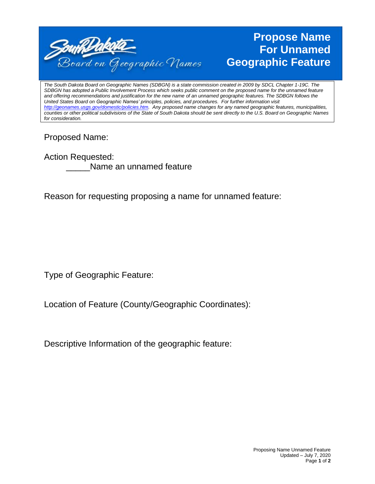

## **Propose Name For Unnamed Geographic Feature**

*The South Dakota Board on Geographic Names (SDBGN) is a state commission created in 2009 by SDCL Chapter 1-19C. The SDBGN has adopted a Public Involvement Process which seeks public comment on the proposed name for the unnamed feature and offering recommendations and justification for the new name of an unnamed geographic features. The SDBGN follows the United States Board on Geographic Names' principles, policies, and procedures. For further information visit [http://geonames.usgs.gov/domestic/policies.htm.](http://geonames.usgs.gov/domestic/policies.htm) Any proposed name changes for any named geographic features, municipalities, counties or other political subdivisions of the State of South Dakota should be sent directly to the U.S. Board on Geographic Names for consideration.* 

## Proposed Name:

Action Requested: Name an unnamed feature

Reason for requesting proposing a name for unnamed feature:

Type of Geographic Feature:

Location of Feature (County/Geographic Coordinates):

Descriptive Information of the geographic feature: